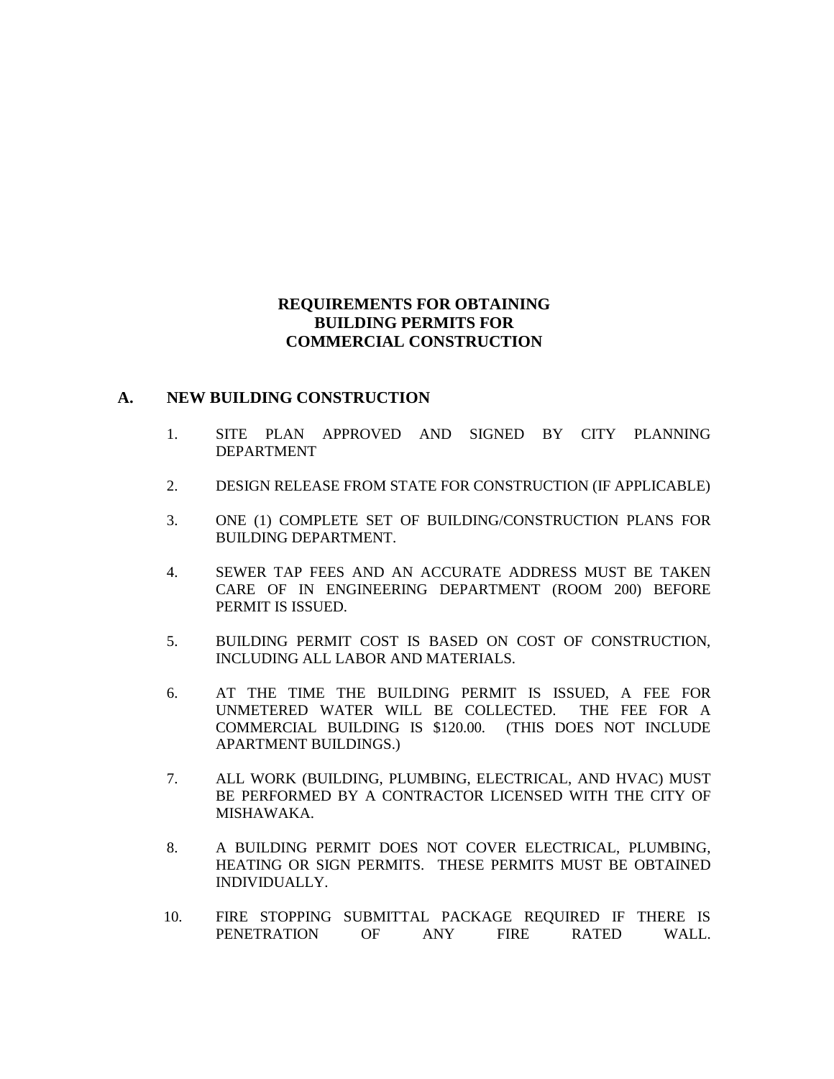## **REQUIREMENTS FOR OBTAINING BUILDING PERMITS FOR COMMERCIAL CONSTRUCTION**

## **A. NEW BUILDING CONSTRUCTION**

- 1. SITE PLAN APPROVED AND SIGNED BY CITY PLANNING DEPARTMENT
- 2. DESIGN RELEASE FROM STATE FOR CONSTRUCTION (IF APPLICABLE)
- 3. ONE (1) COMPLETE SET OF BUILDING/CONSTRUCTION PLANS FOR BUILDING DEPARTMENT.
- 4. SEWER TAP FEES AND AN ACCURATE ADDRESS MUST BE TAKEN CARE OF IN ENGINEERING DEPARTMENT (ROOM 200) BEFORE PERMIT IS ISSUED.
- 5. BUILDING PERMIT COST IS BASED ON COST OF CONSTRUCTION, INCLUDING ALL LABOR AND MATERIALS.
- 6. AT THE TIME THE BUILDING PERMIT IS ISSUED, A FEE FOR UNMETERED WATER WILL BE COLLECTED. THE FEE FOR A COMMERCIAL BUILDING IS \$120.00. (THIS DOES NOT INCLUDE APARTMENT BUILDINGS.)
- 7. ALL WORK (BUILDING, PLUMBING, ELECTRICAL, AND HVAC) MUST BE PERFORMED BY A CONTRACTOR LICENSED WITH THE CITY OF MISHAWAKA.
- 8. A BUILDING PERMIT DOES NOT COVER ELECTRICAL, PLUMBING, HEATING OR SIGN PERMITS. THESE PERMITS MUST BE OBTAINED INDIVIDUALLY.
- 10. FIRE STOPPING SUBMITTAL PACKAGE REQUIRED IF THERE IS PENETRATION OF ANY FIRE RATED WALL.